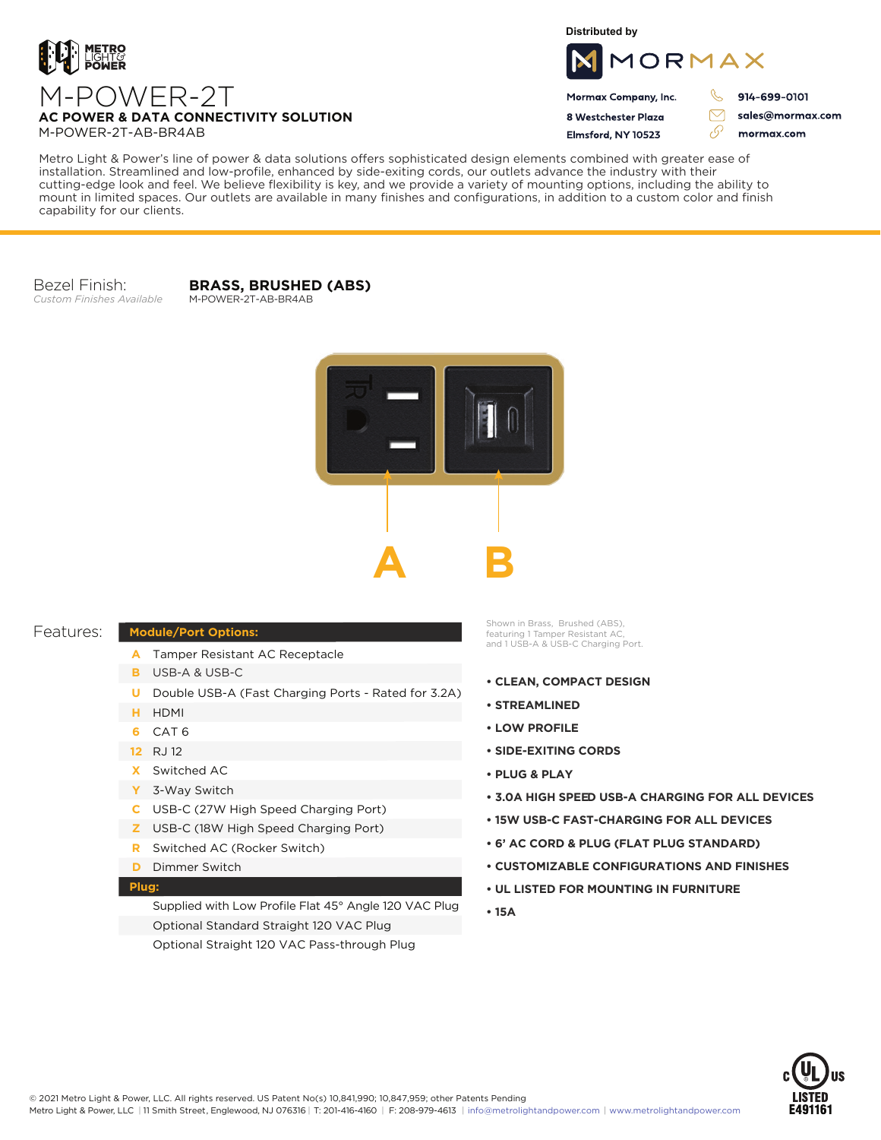

**Distributed by**



Mormax Company, Inc. 8 Westchester Plaza

Flmsford, NY 10523

914-699-0101

ק

 $\triangledown$ 

76

sales@mormax.com mormax.com

**AC POWER & DATA CONNECTIVITY SOLUTION** M-POWER-2T-AB-BR4AB

M-POWER-2T

Metro Light & Power's line of power & data solutions offers sophisticated design elements combined with greater ease of installation. Streamlined and low-profile, enhanced by side-exiting cords, our outlets advance the industry with their cutting-edge look and feel. We believe flexibility is key, and we provide a variety of mounting options, including the ability to mount in limited spaces. Our outlets are available in many finishes and configurations, in addition to a custom color and finish capability for our clients.

Bezel Finish: *Custom Finishes Available*

**BRASS, BRUSHED (ABS)** M-POWER-2T-AB-BR4AB



## Features:

## **Module/Port Options:**

- A Tamper Resistant AC Receptacle
- USB-A & USB-C **B**
- U Double USB-A (Fast Charging Ports Rated for 3.2A)
- HDMI **H**
- CAT 6 **6**
- 12 RJ 12
- Switched AC **X**
- 3-Way Switch **Y**
- USB-C (27W High Speed Charging Port) **C**
- USB-C (18W High Speed Charging Port) **Z**
- Switched AC (Rocker Switch) **R**
- **D** Dimmer Switch

## **Plug:**

Supplied with Low Profile Flat 45° Angle 120 VAC Plug Optional Standard Straight 120 VAC Plug Optional Straight 120 VAC Pass-through Plug

Shown in Brass, Brushed (ABS), featuring 1 Tamper Resistant AC, and 1 USB-A & USB-C Charging Port.

- **CLEAN, COMPACT DESIGN**
- **STREAMLINED**
- **LOW PROFILE**
- **SIDE-EXITING CORDS**
- **PLUG & PLAY**
- **3.0A HIGH SPEED USB-A CHARGING FOR ALL DEVICES**
- **15W USB-C FAST-CHARGING FOR ALL DEVICES**
- **6' AC CORD & PLUG (FLAT PLUG STANDARD)**
- **CUSTOMIZABLE CONFIGURATIONS AND FINISHES**
- **UL LISTED FOR MOUNTING IN FURNITURE**
- **15A**